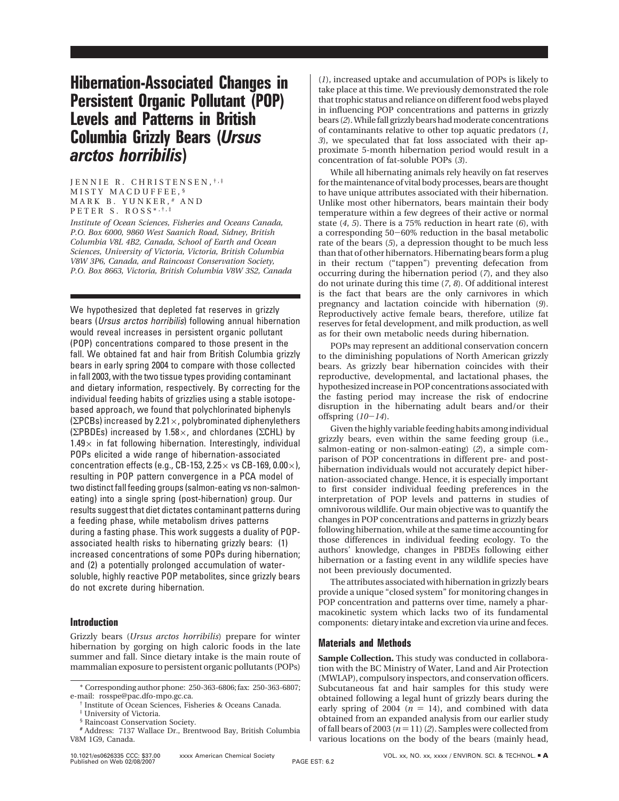# **Hibernation-Associated Changes in Persistent Organic Pollutant (POP) Levels and Patterns in British Columbia Grizzly Bears (***Ursus arctos horribilis***)**

JENNIE R. CHRISTENSEN, †,‡ MISTY MACDUFFEE, § MARK B. YUNKER, # AND PETER S. ROSS\*, †, ‡

*Institute of Ocean Sciences, Fisheries and Oceans Canada, P.O. Box 6000, 9860 West Saanich Road, Sidney, British Columbia V8L 4B2, Canada, School of Earth and Ocean Sciences, University of Victoria, Victoria, British Columbia V8W 3P6, Canada, and Raincoast Conservation Society, P.O. Box 8663, Victoria, British Columbia V8W 3S2, Canada*

We hypothesized that depleted fat reserves in grizzly bears (Ursus arctos horribilis) following annual hibernation would reveal increases in persistent organic pollutant (POP) concentrations compared to those present in the fall. We obtained fat and hair from British Columbia grizzly bears in early spring 2004 to compare with those collected in fall 2003, with the two tissue types providing contaminant and dietary information, respectively. By correcting for the individual feeding habits of grizzlies using a stable isotopebased approach, we found that polychlorinated biphenyls ( $\Sigma$ PCBs) increased by 2.21 $\times$ , polybrominated diphenylethers ( $\Sigma$ PBDEs) increased by 1.58 $\times$ , and chlordanes ( $\Sigma$ CHL) by  $1.49\times$  in fat following hibernation. Interestingly, individual POPs elicited a wide range of hibernation-associated concentration effects (e.g., CB-153, 2.25 $\times$  vs CB-169, 0.00 $\times$ ), resulting in POP pattern convergence in a PCA model of two distinct fall feeding groups (salmon-eating vs non-salmoneating) into a single spring (post-hibernation) group. Our results suggest that diet dictates contaminant patterns during a feeding phase, while metabolism drives patterns during a fasting phase. This work suggests a duality of POPassociated health risks to hibernating grizzly bears: (1) increased concentrations of some POPs during hibernation; and (2) a potentially prolonged accumulation of watersoluble, highly reactive POP metabolites, since grizzly bears do not excrete during hibernation.

## **Introduction**

Grizzly bears (*Ursus arctos horribilis*) prepare for winter hibernation by gorging on high caloric foods in the late summer and fall. Since dietary intake is the main route of mammalian exposure to persistent organic pollutants (POPs)

(*1*), increased uptake and accumulation of POPs is likely to take place at this time. We previously demonstrated the role that trophic status and reliance on different food webs played in influencing POP concentrations and patterns in grizzly bears (*2*). While fall grizzly bears had moderate concentrations of contaminants relative to other top aquatic predators (*1*, *3*), we speculated that fat loss associated with their approximate 5-month hibernation period would result in a concentration of fat-soluble POPs (*3*).

While all hibernating animals rely heavily on fat reserves for the maintenance of vital body processes, bears are thought to have unique attributes associated with their hibernation. Unlike most other hibernators, bears maintain their body temperature within a few degrees of their active or normal state (*4*, *5*). There is a 75% reduction in heart rate (*6*), with a corresponding 50-60% reduction in the basal metabolic rate of the bears (*5*), a depression thought to be much less than that of other hibernators. Hibernating bears form a plug in their rectum ("tappen") preventing defecation from occurring during the hibernation period (*7*), and they also do not urinate during this time (*7*, *8*). Of additional interest is the fact that bears are the only carnivores in which pregnancy and lactation coincide with hibernation (*9*). Reproductively active female bears, therefore, utilize fat reserves for fetal development, and milk production, as well as for their own metabolic needs during hibernation.

POPs may represent an additional conservation concern to the diminishing populations of North American grizzly bears. As grizzly bear hibernation coincides with their reproductive, developmental, and lactational phases, the hypothesized increase in POP concentrations associated with the fasting period may increase the risk of endocrine disruption in the hibernating adult bears and/or their offspring (*10*-*14*).

Given the highly variable feeding habits among individual grizzly bears, even within the same feeding group (i.e., salmon-eating or non-salmon-eating) (*2*), a simple comparison of POP concentrations in different pre- and posthibernation individuals would not accurately depict hibernation-associated change. Hence, it is especially important to first consider individual feeding preferences in the interpretation of POP levels and patterns in studies of omnivorous wildlife. Our main objective was to quantify the changes in POP concentrations and patterns in grizzly bears following hibernation, while at the same time accounting for those differences in individual feeding ecology. To the authors' knowledge, changes in PBDEs following either hibernation or a fasting event in any wildlife species have not been previously documented.

The attributes associated with hibernation in grizzly bears provide a unique "closed system" for monitoring changes in POP concentration and patterns over time, namely a pharmacokinetic system which lacks two of its fundamental components: dietary intake and excretion via urine and feces.

## **Materials and Methods**

**Sample Collection.** This study was conducted in collaboration with the BC Ministry of Water, Land and Air Protection (MWLAP), compulsory inspectors, and conservation officers. Subcutaneous fat and hair samples for this study were obtained following a legal hunt of grizzly bears during the early spring of 2004 ( $n = 14$ ), and combined with data obtained from an expanded analysis from our earlier study of fall bears of 2003 ( $n = 11$ ) (2). Samples were collected from various locations on the body of the bears (mainly head,

<sup>\*</sup> Corresponding author phone: 250-363-6806; fax: 250-363-6807; e-mail: rosspe@pac.dfo-mpo.gc.ca.

<sup>†</sup> Institute of Ocean Sciences, Fisheries & Oceans Canada.

<sup>‡</sup> University of Victoria.

<sup>§</sup> Raincoast Conservation Society.

**<sup>#</sup>** Address: 7137 Wallace Dr., Brentwood Bay, British Columbia V8M 1G9, Canada.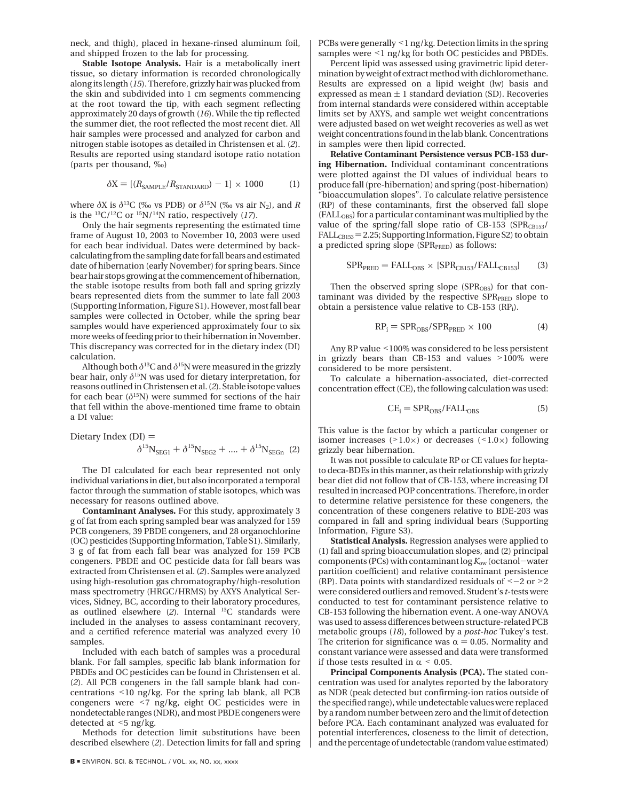neck, and thigh), placed in hexane-rinsed aluminum foil, and shipped frozen to the lab for processing.

**Stable Isotope Analysis.** Hair is a metabolically inert tissue, so dietary information is recorded chronologically along its length (*15*). Therefore, grizzly hair was plucked from the skin and subdivided into 1 cm segments commencing at the root toward the tip, with each segment reflecting approximately 20 days of growth (*16*). While the tip reflected the summer diet, the root reflected the most recent diet. All hair samples were processed and analyzed for carbon and nitrogen stable isotopes as detailed in Christensen et al. (*2*). Results are reported using standard isotope ratio notation (parts per thousand, ‰)

$$
\delta X = \left[ (R_{\text{SAMPL}} / R_{\text{STANDARD}}) - 1 \right] \times 1000 \tag{1}
$$

where  $\delta X$  is  $\delta^{13}C$  (‰ vs PDB) or  $\delta^{15}N$  (‰ vs air N<sub>2</sub>), and *R* is the 13C/12C or 15N/14N ratio, respectively (*17*).

Only the hair segments representing the estimated time frame of August 10, 2003 to November 10, 2003 were used for each bear individual. Dates were determined by backcalculating from the sampling date for fall bears and estimated date of hibernation (early November) for spring bears. Since bear hair stops growing at the commencement of hibernation, the stable isotope results from both fall and spring grizzly bears represented diets from the summer to late fall 2003 (Supporting Information, Figure S1). However, most fall bear samples were collected in October, while the spring bear samples would have experienced approximately four to six more weeks of feeding prior to their hibernation in November. This discrepancy was corrected for in the dietary index (DI) calculation.

Although both  $\delta^{13}C$  and  $\delta^{15}N$  were measured in the grizzly bear hair, only *δ*15N was used for dietary interpretation, for reasons outlined in Christensen et al. (*2*). Stable isotope values for each bear  $(\delta^{15}N)$  were summed for sections of the hair that fell within the above-mentioned time frame to obtain a DI value:

Dietary Index  $(DI) =$  $\delta^{15}N_{SEG1} + \delta^{15}N_{SEG2} + \dots + \delta^{15}N_{SEGn}$  (2)

The DI calculated for each bear represented not only individual variations in diet, but also incorporated a temporal factor through the summation of stable isotopes, which was necessary for reasons outlined above.

**Contaminant Analyses.** For this study, approximately 3 g of fat from each spring sampled bear was analyzed for 159 PCB congeners, 39 PBDE congeners, and 28 organochlorine (OC) pesticides (Supporting Information, Table S1). Similarly, 3 g of fat from each fall bear was analyzed for 159 PCB congeners. PBDE and OC pesticide data for fall bears was extracted from Christensen et al. (*2*). Samples were analyzed using high-resolution gas chromatography/high-resolution mass spectrometry (HRGC/HRMS) by AXYS Analytical Services, Sidney, BC, according to their laboratory procedures, as outlined elsewhere (*2*). Internal 13C standards were included in the analyses to assess contaminant recovery, and a certified reference material was analyzed every 10 samples.

Included with each batch of samples was a procedural blank. For fall samples, specific lab blank information for PBDEs and OC pesticides can be found in Christensen et al. (*2*). All PCB congeners in the fall sample blank had concentrations <10 ng/kg. For the spring lab blank, all PCB congeners were <7 ng/kg, eight OC pesticides were in nondetectable ranges (NDR), and most PBDE congeners were detected at <5 ng/kg.

Methods for detection limit substitutions have been described elsewhere (*2*). Detection limits for fall and spring PCBs were generally <1 ng/kg. Detection limits in the spring samples were <1 ng/kg for both OC pesticides and PBDEs.

Percent lipid was assessed using gravimetric lipid determination by weight of extract method with dichloromethane. Results are expressed on a lipid weight (lw) basis and expressed as mean  $\pm 1$  standard deviation (SD). Recoveries from internal standards were considered within acceptable limits set by AXYS, and sample wet weight concentrations were adjusted based on wet weight recoveries as well as wet weight concentrations found in the lab blank. Concentrations in samples were then lipid corrected.

**Relative Contaminant Persistence versus PCB-153 during Hibernation.** Individual contaminant concentrations were plotted against the DI values of individual bears to produce fall (pre-hibernation) and spring (post-hibernation) "bioaccumulation slopes". To calculate relative persistence (RP) of these contaminants, first the observed fall slope (FALL<sub>OBS</sub>) for a particular contaminant was multiplied by the value of the spring/fall slope ratio of CB-153 ( $SPR<sub>CB153</sub>$ /  $FALL<sub>CB153</sub> = 2.25$ ; Supporting Information, Figure S2) to obtain a predicted spring slope (SPR<sub>PRED</sub>) as follows:

$$
SPR_{PRED} = FALL_{OBS} \times [SPR_{CB153}/FALL_{CB153}] \tag{3}
$$

Then the observed spring slope (SPR<sub>OBS</sub>) for that contaminant was divided by the respective SPR<sub>PRED</sub> slope to obtain a persistence value relative to CB-153 (RPi).

$$
RP_i = SPR_{OBS} / SPR_{PRED} \times 100
$$
 (4)

Any RP value <100% was considered to be less persistent in grizzly bears than CB-153 and values  $>100\%$  were considered to be more persistent.

To calculate a hibernation-associated, diet-corrected concentration effect (CE), the following calculation was used:

$$
CE_i = SPR_{OBS} / FALL_{OBS}
$$
 (5)

This value is the factor by which a particular congener or isomer increases  $(>1.0\times)$  or decreases  $(<1.0\times)$  following grizzly bear hibernation.

It was not possible to calculate RP or CE values for heptato deca-BDEs in this manner, as their relationship with grizzly bear diet did not follow that of CB-153, where increasing DI resulted in increased POP concentrations. Therefore, in order to determine relative persistence for these congeners, the concentration of these congeners relative to BDE-203 was compared in fall and spring individual bears (Supporting Information, Figure S3).

**Statistical Analysis.** Regression analyses were applied to (1) fall and spring bioaccumulation slopes, and (2) principal components (PCs) with contaminant log*K*ow (octanol-water partition coefficient) and relative contaminant persistence (RP). Data points with standardized residuals of  $<-2$  or  $>2$ were considered outliers and removed. Student's *t*-tests were conducted to test for contaminant persistence relative to CB-153 following the hibernation event. A one-way ANOVA was used to assess differences between structure-related PCB metabolic groups (*18*), followed by a *post-hoc* Tukey's test. The criterion for significance was  $\alpha = 0.05$ . Normality and constant variance were assessed and data were transformed if those tests resulted in  $\alpha$  < 0.05.

**Principal Components Analysis (PCA).** The stated concentration was used for analytes reported by the laboratory as NDR (peak detected but confirming-ion ratios outside of the specified range), while undetectable values were replaced by a random number between zero and the limit of detection before PCA. Each contaminant analyzed was evaluated for potential interferences, closeness to the limit of detection, and the percentage of undetectable (random value estimated)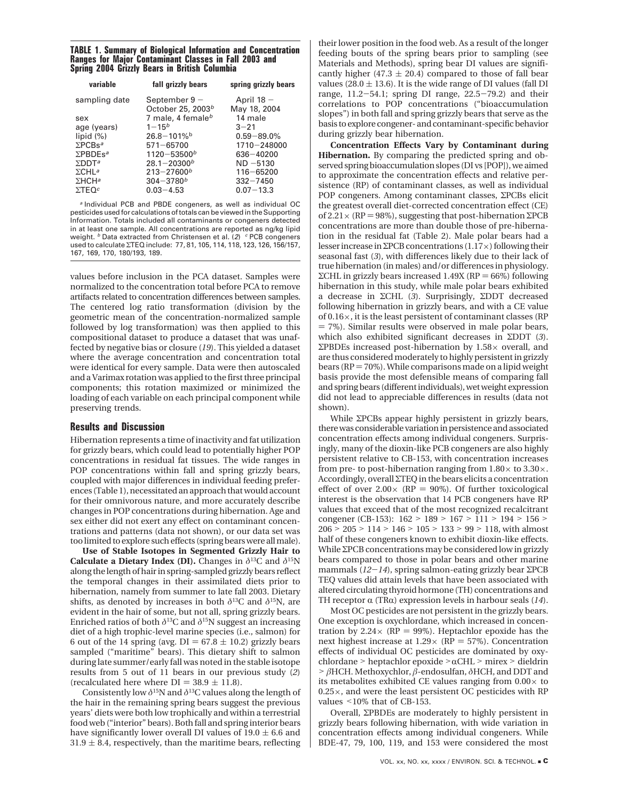#### **TABLE 1. Summary of Biological Information and Concentration Ranges for Major Contaminant Classes in Fall 2003 and Spring 2004 Grizzly Bears in British Columbia**

| variable                    | fall grizzly bears            | spring grizzly bears |  |
|-----------------------------|-------------------------------|----------------------|--|
| sampling date               | September 9 $-$               | April $18 -$         |  |
|                             | October 25, 2003 <sup>b</sup> | May 18, 2004         |  |
| sex                         | 7 male, 4 female <sup>b</sup> | 14 male              |  |
| age (years)                 | $1 - 15^{b}$                  | $3 - 21$             |  |
| lipid $(\%)$                | $26.8 - 101\%$ <sup>b</sup>   | $0.59 - 89.0\%$      |  |
| $\Sigma$ PCBs <sup>a</sup>  | $571 - 65700$                 | $1710 - 248000$      |  |
| $\Sigma$ PBDEs <sup>a</sup> | $1120 - 53500^b$              | $636 - 40200$        |  |
| $\Sigma$ DDT <sup>a</sup>   | $28.1 - 20300^b$              | $ND - 5130$          |  |
| $\Sigma$ CHI <sup>a</sup>   | $213 - 27600^b$               | $116 - 65200$        |  |
| $\Sigma$ HCH <sup>a</sup>   | $304 - 3780^b$                | $332 - 7450$         |  |
| $\Sigma$ TEO <sup>c</sup>   | $0.03 - 4.53$                 | $0.07 - 13.3$        |  |
|                             |                               |                      |  |

<sup>a</sup> Individual PCB and PBDE congeners, as well as individual OC pesticides used for calculations of totals can be viewed in the Supporting Information. Totals included all contaminants or congeners detected in at least one sample. All concentrations are reported as ng/kg lipid weight. <sup>b</sup> Data extracted from Christensen et al. (2) <sup>c</sup> PCB congeners used to calculate ΣTEQ include: 77, 81, 105, 114, 118, 123, 126, 156/157, 167, 169, 170, 180/193, 189.

values before inclusion in the PCA dataset. Samples were normalized to the concentration total before PCA to remove artifacts related to concentration differences between samples. The centered log ratio transformation (division by the geometric mean of the concentration-normalized sample followed by log transformation) was then applied to this compositional dataset to produce a dataset that was unaffected by negative bias or closure (*19*). This yielded a dataset where the average concentration and concentration total were identical for every sample. Data were then autoscaled and a Varimax rotation was applied to the first three principal components; this rotation maximized or minimized the loading of each variable on each principal component while preserving trends.

## **Results and Discussion**

Hibernation represents a time of inactivity and fat utilization for grizzly bears, which could lead to potentially higher POP concentrations in residual fat tissues. The wide ranges in POP concentrations within fall and spring grizzly bears, coupled with major differences in individual feeding preferences (Table 1), necessitated an approach that would account for their omnivorous nature, and more accurately describe changes in POP concentrations during hibernation. Age and sex either did not exert any effect on contaminant concentrations and patterns (data not shown), or our data set was too limited to explore such effects (spring bears were all male).

**Use of Stable Isotopes in Segmented Grizzly Hair to Calculate a Dietary Index (DI).** Changes in *δ*13C and *δ*15N along the length of hair in spring-sampled grizzly bears reflect the temporal changes in their assimilated diets prior to hibernation, namely from summer to late fall 2003. Dietary shifts, as denoted by increases in both *δ*13C and *δ*15N, are evident in the hair of some, but not all, spring grizzly bears. Enriched ratios of both  $\delta^{13}$ C and  $\delta^{15}$ N suggest an increasing diet of a high trophic-level marine species (i.e., salmon) for 6 out of the 14 spring (avg.  $DI = 67.8 \pm 10.2$ ) grizzly bears sampled ("maritime" bears). This dietary shift to salmon during late summer/early fall was noted in the stable isotope results from 5 out of 11 bears in our previous study (*2*) (recalculated here where  $DI = 38.9 \pm 11.8$ ).

Consistently low  $\delta^{15}N$  and  $\delta^{13}C$  values along the length of the hair in the remaining spring bears suggest the previous years' diets were both low trophically and within a terrestrial food web ("interior" bears). Both fall and spring interior bears have significantly lower overall DI values of  $19.0 \pm 6.6$  and  $31.9 \pm 8.4$ , respectively, than the maritime bears, reflecting their lower position in the food web. As a result of the longer feeding bouts of the spring bears prior to sampling (see Materials and Methods), spring bear DI values are significantly higher (47.3  $\pm$  20.4) compared to those of fall bear values (28.0  $\pm$  13.6). It is the wide range of DI values (fall DI range, 11.2-54.1; spring DI range, 22.5-79.2) and their correlations to POP concentrations ("bioaccumulation slopes") in both fall and spring grizzly bears that serve as the basis to explore congener- and contaminant-specific behavior during grizzly bear hibernation.

**Concentration Effects Vary by Contaminant during Hibernation.** By comparing the predicted spring and observed spring bioaccumulation slopes (DI vs [POP]), we aimed to approximate the concentration effects and relative persistence (RP) of contaminant classes, as well as individual POP congeners. Among contaminant classes, ΣPCBs elicit the greatest overall diet-corrected concentration effect (CE) of 2.21  $\times$  (RP = 98%), suggesting that post-hibernation ΣPCB concentrations are more than double those of pre-hibernation in the residual fat (Table 2). Male polar bears had a lesser increase inΣPCB concentrations (1.17×) following their seasonal fast (*3*), with differences likely due to their lack of true hibernation (in males) and/or differences in physiology. ΣCHL in grizzly bears increased  $1.49X$  (RP = 66%) following hibernation in this study, while male polar bears exhibited a decrease in ΣCHL (*3*). Surprisingly, ΣDDT decreased following hibernation in grizzly bears, and with a CE value of 0.16×, it is the least persistent of contaminant classes (RP  $= 7\%$ ). Similar results were observed in male polar bears, which also exhibited significant decreases in ΣDDT (*3*). ΣPBDEs increased post-hibernation by 1.58× overall, and are thus considered moderately to highly persistent in grizzly bears ( $RP = 70\%$ ). While comparisons made on a lipid weight basis provide the most defensible means of comparing fall and spring bears (different individuals), wet weight expression did not lead to appreciable differences in results (data not shown).

While ΣPCBs appear highly persistent in grizzly bears, there was considerable variation in persistence and associated concentration effects among individual congeners. Surprisingly, many of the dioxin-like PCB congeners are also highly persistent relative to CB-153, with concentration increases from pre- to post-hibernation ranging from  $1.80 \times$  to  $3.30 \times$ . Accordingly, overall ΣTEQ in the bears elicits a concentration effect of over  $2.00 \times (RP = 90\%)$ . Of further toxicological interest is the observation that 14 PCB congeners have RP values that exceed that of the most recognized recalcitrant congener (CB-153): 162 > <sup>189</sup> > <sup>167</sup> > <sup>111</sup> > <sup>194</sup> > <sup>156</sup> > <sup>206</sup> > <sup>205</sup> > <sup>114</sup> > <sup>146</sup> > <sup>105</sup> > <sup>133</sup> > <sup>99</sup> > 118, with almost half of these congeners known to exhibit dioxin-like effects. While ΣPCB concentrations may be considered low in grizzly bears compared to those in polar bears and other marine mammals (*12*-*14*), spring salmon-eating grizzly bear <sup>Σ</sup>PCB TEQ values did attain levels that have been associated with altered circulating thyroid hormone (TH) concentrations and TH receptor  $\alpha$  (TR $\alpha$ ) expression levels in harbour seals (14).

Most OC pesticides are not persistent in the grizzly bears. One exception is oxychlordane, which increased in concentration by 2.24 $\times$  (RP = 99%). Heptachlor epoxide has the next highest increase at  $1.29 \times (RP = 57\%)$ . Concentration effects of individual OC pesticides are dominated by oxychlordane > heptachlor epoxide >  $\alpha$ CHL > mirex > dieldrin > *<sup>â</sup>*HCH. Methoxychlor, *<sup>â</sup>*-endosulfan, *<sup>δ</sup>*HCH, and DDT and its metabolites exhibited CE values ranging from  $0.00 \times$  to  $0.25\times$ , and were the least persistent OC pesticides with RP values <10% that of CB-153.

Overall, ΣPBDEs are moderately to highly persistent in grizzly bears following hibernation, with wide variation in concentration effects among individual congeners. While BDE-47, 79, 100, 119, and 153 were considered the most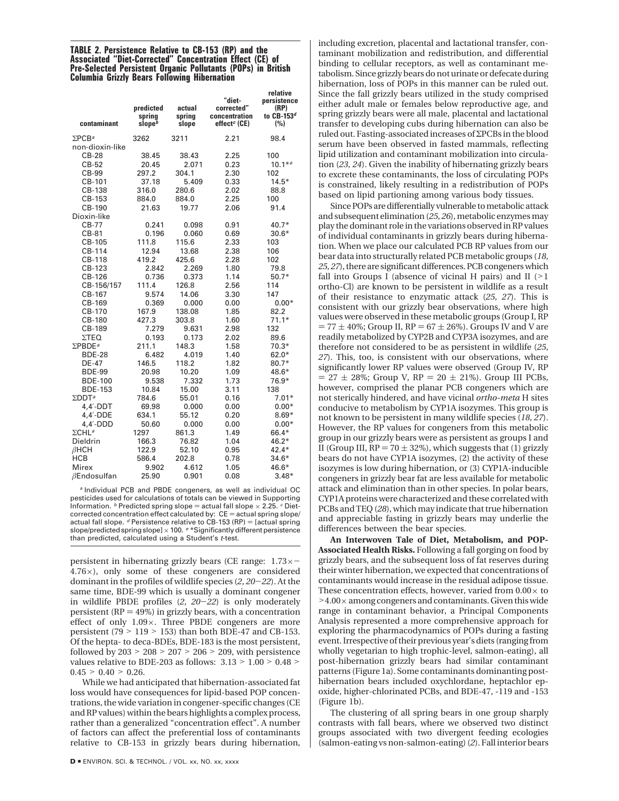#### **TABLE 2. Persistence Relative to CB-153 (RP) and the Associated "Diet-Corrected" Concentration Effect (CE) of Pre-Selected Persistent Organic Pollutants (POPs) in British Columbia Grizzly Bears Following Hibernation**

| contaminant                | predicted<br>sprina<br>slope <sup>b</sup> | actual<br>spring<br>slope | "diet-<br>corrected"<br>concentration<br>effect <sup>c</sup> (CE) | relative<br>persistence<br>(RP)<br>to CB-153 <sup>d</sup><br>(%) |
|----------------------------|-------------------------------------------|---------------------------|-------------------------------------------------------------------|------------------------------------------------------------------|
| $\Sigma$ PCB <sup>a</sup>  | 3262                                      | 3211                      | 2.21                                                              | 98.4                                                             |
| non-dioxin-like            |                                           |                           |                                                                   |                                                                  |
| <b>CB-28</b>               | 38.45                                     | 38.43                     | 2.25                                                              | 100                                                              |
| CB-52                      | 20.45                                     | 2.071                     | 0.23                                                              | $10.1*e$                                                         |
| CB-99                      | 297.2                                     | 304.1                     | 2.30                                                              | 102                                                              |
| CB-101                     | 37.18                                     | 5.409                     | 0.33                                                              | $14.5*$                                                          |
| CB-138                     | 316.0                                     | 280.6                     | 2.02                                                              | 88.8                                                             |
| CB-153                     | 884.0                                     | 884.0                     | 2.25                                                              | 100                                                              |
| CB-190                     | 21.63                                     | 19.77                     | 2.06                                                              | 91.4                                                             |
| Dioxin-like                |                                           |                           |                                                                   |                                                                  |
| CB-77                      | 0.241                                     | 0.098                     | 0.91                                                              | $40.7*$                                                          |
| CB-81                      | 0.196                                     | 0.060                     | 0.69                                                              | $30.6*$                                                          |
| CB-105                     | 111.8                                     | 115.6                     | 2.33                                                              | 103                                                              |
| CB-114                     | 12.94                                     | 13.68                     | 2.38                                                              | 106                                                              |
| CB-118                     | 419.2                                     | 425.6                     | 2.28                                                              | 102                                                              |
| CB-123                     | 2.842                                     | 2.269                     | 1.80                                                              | 79.8                                                             |
| CB-126                     | 0.736                                     | 0.373                     | 1.14                                                              | $50.7*$                                                          |
| CB-156/157                 | 111.4                                     | 126.8                     | 2.56                                                              | 114                                                              |
| CB-167                     | 9.574                                     | 14.06                     | 3.30                                                              | 147                                                              |
| CB-169                     | 0.369                                     | 0.000                     | 0.00                                                              | $0.00*$                                                          |
| CB-170                     | 167.9                                     | 138.08                    | 1.85                                                              | 82.2                                                             |
| CB-180                     | 427.3                                     | 303.8                     | 1.60                                                              | $71.1*$                                                          |
| CB-189                     | 7.279                                     | 9.631                     | 2.98                                                              | 132                                                              |
| $\Sigma$ TEQ               | 0.193                                     | 0.173                     | 2.02                                                              | 89.6                                                             |
| $\Sigma$ PBDE <sup>a</sup> | 211.1                                     | 148.3                     | 1.58                                                              | $70.3*$                                                          |
| <b>BDE-28</b>              | 6.482                                     | 4.019                     | 1.40                                                              | $62.0*$                                                          |
| DE-47                      | 146.5                                     | 118.2                     | 1.82                                                              | $80.7*$                                                          |
| <b>BDE-99</b>              | 20.98                                     | 10.20                     | 1.09                                                              | 48.6*                                                            |
| <b>BDE-100</b>             | 9.538                                     | 7.332                     | 1.73                                                              | 76.9*                                                            |
| <b>BDE-153</b>             | 10.84                                     | 15.00                     | 3.11                                                              | 138                                                              |
| $\Sigma$ DDT <sup>a</sup>  | 784.6                                     | 55.01                     | 0.16                                                              | $7.01*$                                                          |
| $4.4'$ -DDT                | 69.98                                     | 0.000                     | 0.00                                                              | $0.00*$                                                          |
| 4.4'-DDE                   | 634.1                                     | 55.12                     | 0.20                                                              | $8.69*$                                                          |
| $4.4'$ -DDD                | 50.60                                     | 0.000                     | 0.00                                                              | $0.00*$                                                          |
| $\Sigma$ CHLa              | 1297                                      | 861.3                     | 1.49                                                              | 66.4*                                                            |
| Dieldrin                   | 166.3                                     | 76.82                     | 1.04                                                              | $46.2*$                                                          |
| $\beta$ HCH                | 122.9                                     | 52.10                     | 0.95                                                              | 42.4*                                                            |
| <b>HCB</b>                 | 586.4                                     | 202.8                     | 0.78                                                              | $34.6*$                                                          |
| Mirex                      | 9.902                                     | 4.612                     | 1.05                                                              | 46.6*                                                            |
| $\beta$ Endosulfan         | 25.90                                     | 0.901                     | 0.08                                                              | $3.48*$                                                          |

<sup>a</sup> Individual PCB and PBDE congeners, as well as individual OC pesticides used for calculations of totals can be viewed in Supporting Information.  $b$  Predicted spring slope = actual fall slope  $\times$  2.25.  $c$  Dietcorrected concentration effect calculated by:  $CE =$  actual spring slope/ actual fall slope.  $d$  Persistence relative to CB-153 (RP) = [actual spring slope/predicted spring slope]  $\times$  100.  $e^*$ Significantly different persistence than predicted, calculated using a Student's t-test.

persistent in hibernating grizzly bears (CE range: 1.73×-4.76×), only some of these congeners are considered dominant in the profiles of wildlife species (*2*, *<sup>20</sup>*-*22*). At the same time, BDE-99 which is usually a dominant congener in wildlife PBDE profiles (*2*, *<sup>20</sup>*-*22*) is only moderately persistent ( $RP = 49\%$ ) in grizzly bears, with a concentration effect of only  $1.09 \times$ . Three PBDE congeners are more persistent (79 > <sup>119</sup> > 153) than both BDE-47 and CB-153. Of the hepta- to deca-BDEs, BDE-183 is the most persistent, followed by  $203 > 208 > 207 > 206 > 209$ , with persistence values relative to BDE-203 as follows:  $3.13 > 1.00 > 0.48 >$  $0.45 > 0.40 > 0.26$ .

While we had anticipated that hibernation-associated fat loss would have consequences for lipid-based POP concentrations, the wide variation in congener-specific changes (CE and RP values) within the bears highlights a complex process, rather than a generalized "concentration effect". A number of factors can affect the preferential loss of contaminants relative to CB-153 in grizzly bears during hibernation,

including excretion, placental and lactational transfer, contaminant mobilization and redistribution, and differential binding to cellular receptors, as well as contaminant metabolism. Since grizzly bears do not urinate or defecate during hibernation, loss of POPs in this manner can be ruled out. Since the fall grizzly bears utilized in the study comprised either adult male or females below reproductive age, and spring grizzly bears were all male, placental and lactational transfer to developing cubs during hibernation can also be ruled out. Fasting-associated increases ofΣPCBs in the blood serum have been observed in fasted mammals, reflecting lipid utilization and contaminant mobilization into circulation (*23*, *24*). Given the inability of hibernating grizzly bears to excrete these contaminants, the loss of circulating POPs is constrained, likely resulting in a redistribution of POPs based on lipid partioning among various body tissues.

Since POPs are differentially vulnerable to metabolic attack and subsequent elimination (*25*, *26*), metabolic enzymes may play the dominant role in the variations observed in RP values of individual contaminants in grizzly bears during hibernation. When we place our calculated PCB RP values from our bear data into structurally related PCB metabolic groups (*18*, *25*, *27*), there are significant differences. PCB congeners which fall into Groups I (absence of vicinal H pairs) and II  $(>1)$ ortho-Cl) are known to be persistent in wildlife as a result of their resistance to enzymatic attack (*25*, *27*). This is consistent with our grizzly bear observations, where high values were observed in these metabolic groups (Group I, RP  $= 77 \pm 40\%$ ; Group II, RP  $= 67 \pm 26\%$ ). Groups IV and V are readily metabolized by CYP2B and CYP3A isozymes, and are therefore not considered to be as persistent in wildlife (*25*, *27*). This, too, is consistent with our observations, where significantly lower RP values were observed (Group IV, RP  $= 27 \pm 28\%$ ; Group V, RP  $= 20 \pm 21\%$ ). Group III PCBs, however, comprised the planar PCB congeners which are not sterically hindered, and have vicinal *ortho-meta* H sites conducive to metabolism by CYP1A isozymes. This group is not known to be persistent in many wildlife species (*18*, *27*). However, the RP values for congeners from this metabolic group in our grizzly bears were as persistent as groups I and II (Group III,  $RP = 70 \pm 32\%$ ), which suggests that (1) grizzly bears do not have CYP1A isozymes, (2) the activity of these isozymes is low during hibernation, or (3) CYP1A-inducible congeners in grizzly bear fat are less available for metabolic attack and elimination than in other species. In polar bears, CYP1A proteins were characterized and these correlated with PCBs and TEQ (*28*), which may indicate that true hibernation and appreciable fasting in grizzly bears may underlie the differences between the bear species.

**An Interwoven Tale of Diet, Metabolism, and POP-Associated Health Risks.** Following a fall gorging on food by grizzly bears, and the subsequent loss of fat reserves during their winter hibernation, we expected that concentrations of contaminants would increase in the residual adipose tissue. These concentration effects, however, varied from  $0.00 \times$  to  $>4.00\times$  among congeners and contaminants. Given this wide range in contaminant behavior, a Principal Components Analysis represented a more comprehensive approach for exploring the pharmacodynamics of POPs during a fasting event. Irrespective of their previous year's diets (ranging from wholly vegetarian to high trophic-level, salmon-eating), all post-hibernation grizzly bears had similar contaminant patterns (Figure 1a). Some contaminants dominanting posthibernation bears included oxychlordane, heptachlor epoxide, higher-chlorinated PCBs, and BDE-47, -119 and -153 (Figure 1b).

The clustering of all spring bears in one group sharply contrasts with fall bears, where we observed two distinct groups associated with two divergent feeding ecologies (salmon-eating vs non-salmon-eating) (*2*). Fall interior bears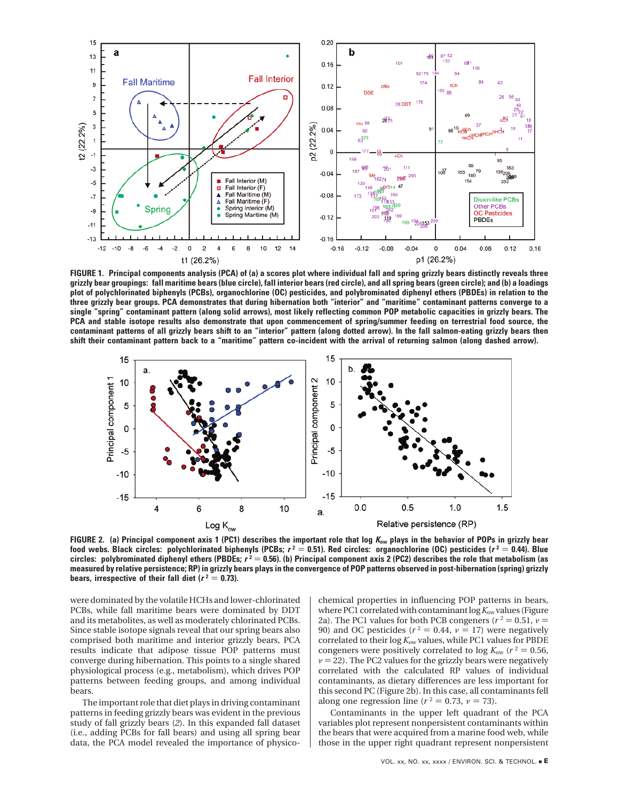

**FIGURE 1. Principal components analysis (PCA) of (a) a scores plot where individual fall and spring grizzly bears distinctly reveals three grizzly bear groupings: fall maritime bears (blue circle), fall interior bears (red circle), and all spring bears (green circle); and (b) a loadings plot of polychlorinated biphenyls (PCBs), organochlorine (OC) pesticides, and polybrominated diphenyl ethers (PBDEs) in relation to the three grizzly bear groups. PCA demonstrates that during hibernation both "interior" and "maritime" contaminant patterns converge to a single "spring" contaminant pattern (along solid arrows), most likely reflecting common POP metabolic capacities in grizzly bears. The PCA and stable isotope results also demonstrate that upon commencement of spring/summer feeding on terrestrial food source, the contaminant patterns of all grizzly bears shift to an "interior" pattern (along dotted arrow). In the fall salmon-eating grizzly bears then shift their contaminant pattern back to a "maritime" pattern co-incident with the arrival of returning salmon (along dashed arrow).**



**FIGURE 2. (a) Principal component axis 1 (PC1) describes the important role that log <sup>K</sup>ow plays in the behavior of POPs in grizzly bear food webs. Black circles: polychlorinated biphenyls (PCBs;**  $r^2 = 0.51$ **). Red circles: organochlorine (OC) pesticides (** $r^2 = 0.44$ **). Blue circles: polybrominated diphenyl ethers (PBDEs; <sup>r</sup> <sup>2</sup>** ) **0.56). (b) Principal component axis 2 (PC2) describes the role that metabolism (as measured by relative persistence; RP) in grizzly bears plays in the convergence of POP patterns observed in post-hibernation (spring) grizzly bears, irrespective of their fall diet (** $r^2 = 0.73$ **).** 

were dominated by the volatile HCHs and lower-chlorinated PCBs, while fall maritime bears were dominated by DDT and its metabolites, as well as moderately chlorinated PCBs. Since stable isotope signals reveal that our spring bears also comprised both maritime and interior grizzly bears, PCA results indicate that adipose tissue POP patterns must converge during hibernation. This points to a single shared physiological process (e.g., metabolism), which drives POP patterns between feeding groups, and among individual bears.

The important role that diet plays in driving contaminant patterns in feeding grizzly bears was evident in the previous study of fall grizzly bears (*2*). In this expanded fall dataset (i.e., adding PCBs for fall bears) and using all spring bear data, the PCA model revealed the importance of physicochemical properties in influencing POP patterns in bears, where PC1 correlated with contaminant log*K*ow values (Figure 2a). The PC1 values for both PCB congeners ( $r^2 = 0.51$ ,  $\nu =$ 90) and OC pesticides ( $r^2 = 0.44$ ,  $\nu = 17$ ) were negatively correlated to their log *K*ow values, while PC1 values for PBDE congeners were positively correlated to log  $K_{ow}$  ( $r^2 = 0.56$ ,  $\nu$  = 22). The PC2 values for the grizzly bears were negatively correlated with the calculated RP values of individual contaminants, as dietary differences are less important for this second PC (Figure 2b). In this case, all contaminants fell along one regression line ( $r^2 = 0.73$ ,  $\nu = 73$ ).

Contaminants in the upper left quadrant of the PCA variables plot represent nonpersistent contaminants within the bears that were acquired from a marine food web, while those in the upper right quadrant represent nonpersistent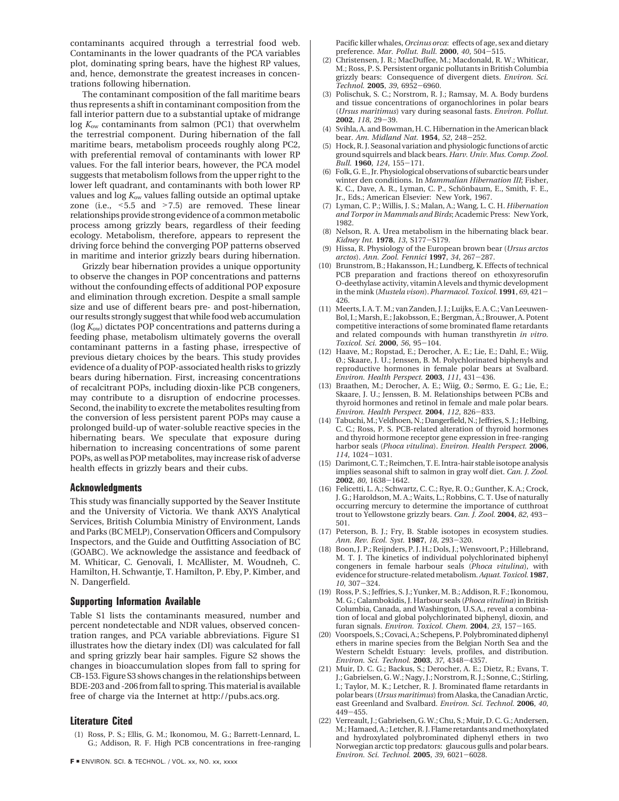contaminants acquired through a terrestrial food web. Contaminants in the lower quadrants of the PCA variables plot, dominating spring bears, have the highest RP values, and, hence, demonstrate the greatest increases in concentrations following hibernation.

The contaminant composition of the fall maritime bears thus represents a shift in contaminant composition from the fall interior pattern due to a substantial uptake of midrange log  $K_{ow}$  contaminants from salmon (PC1) that overwhelm the terrestrial component. During hibernation of the fall maritime bears, metabolism proceeds roughly along PC2, with preferential removal of contaminants with lower RP values. For the fall interior bears, however, the PCA model suggests that metabolism follows from the upper right to the lower left quadrant, and contaminants with both lower RP values and log *K*ow values falling outside an optimal uptake zone (i.e., <5.5 and >7.5) are removed. These linear relationships provide strong evidence of a common metabolic process among grizzly bears, regardless of their feeding ecology. Metabolism, therefore, appears to represent the driving force behind the converging POP patterns observed in maritime and interior grizzly bears during hibernation.

Grizzly bear hibernation provides a unique opportunity to observe the changes in POP concentrations and patterns without the confounding effects of additional POP exposure and elimination through excretion. Despite a small sample size and use of different bears pre- and post-hibernation, our results strongly suggest that while food web accumulation (log *K*ow) dictates POP concentrations and patterns during a feeding phase, metabolism ultimately governs the overall contaminant patterns in a fasting phase, irrespective of previous dietary choices by the bears. This study provides evidence of a duality of POP-associated health risks to grizzly bears during hibernation. First, increasing concentrations of recalcitrant POPs, including dioxin-like PCB congeners, may contribute to a disruption of endocrine processes. Second, the inability to excrete the metabolites resulting from the conversion of less persistent parent POPs may cause a prolonged build-up of water-soluble reactive species in the hibernating bears. We speculate that exposure during hibernation to increasing concentrations of some parent POPs, as well as POP metabolites, may increase risk of adverse health effects in grizzly bears and their cubs.

### **Acknowledgments**

This study was financially supported by the Seaver Institute and the University of Victoria. We thank AXYS Analytical Services, British Columbia Ministry of Environment, Lands and Parks (BC MELP), Conservation Officers and Compulsory Inspectors, and the Guide and Outfitting Association of BC (GOABC). We acknowledge the assistance and feedback of M. Whiticar, C. Genovali, I. McAllister, M. Woudneh, C. Hamilton, H. Schwantje, T. Hamilton, P. Eby, P. Kimber, and N. Dangerfield.

#### **Supporting Information Available**

Table S1 lists the contaminants measured, number and percent nondetectable and NDR values, observed concentration ranges, and PCA variable abbreviations. Figure S1 illustrates how the dietary index (DI) was calculated for fall and spring grizzly bear hair samples. Figure S2 shows the changes in bioaccumulation slopes from fall to spring for CB-153. Figure S3 shows changes in the relationships between BDE-203 and -206 from fall to spring. This material is available free of charge via the Internet at http://pubs.acs.org.

## **Literature Cited**

(1) Ross, P. S.; Ellis, G. M.; Ikonomou, M. G.; Barrett-Lennard, L. G.; Addison, R. F. High PCB concentrations in free-ranging Pacific killer whales, *Orcinus orca*: effects of age, sex and dietary

- preference. *Mar. Pollut. Bull.* **<sup>2000</sup>**, *<sup>40</sup>*, 504-515. (2) Christensen, J. R.; MacDuffee, M.; Macdonald, R. W.; Whiticar, M.; Ross, P. S. Persistent organic pollutants in British Columbia grizzly bears: Consequence of divergent diets. *Environ. Sci.*
- *Technol.* **<sup>2005</sup>**, *<sup>39</sup>*, 6952-6960. (3) Polischuk, S. C.; Norstrom, R. J.; Ramsay, M. A. Body burdens and tissue concentrations of organochlorines in polar bears (*Ursus maritimus*) vary during seasonal fasts. *Environ. Pollut.*
- **<sup>2002</sup>**, *<sup>118</sup>*, 29-39. (4) Svihla, A. and Bowman, H. C. Hibernation in the American black bear. *Am. Midland Nat.* **<sup>1954</sup>**, *<sup>52</sup>*, 248-252.
- (5) Hock, R. J. Seasonal variation and physiologic functions of arctic ground squirrels and black bears. *Harv. Univ. Mus. Comp. Zool. Bull.* **<sup>1960</sup>**, *<sup>124</sup>*, 155-171.
- (6) Folk, G. E., Jr. Physiological observations of subarctic bears under winter den conditions. In *Mammalian Hibernation III*; Fisher, K. C., Dave, A. R., Lyman, C. P., Schönbaum, E., Smith, F. E., Jr., Eds.; American Elsevier: New York, 1967.
- (7) Lyman, C. P.; Willis, J. S.; Malan, A.; Wang, L. C. H. *Hibernation and Torpor in Mammals and Birds*; Academic Press: New York, 1982.
- (8) Nelson, R. A. Urea metabolism in the hibernating black bear. *Kidney Int.* **<sup>1978</sup>**, *<sup>13</sup>*, S177-S179.
- (9) Hissa, R. Physiology of the European brown bear (*Ursus arctos arctos*). *Ann. Zool. Fennici* **<sup>1997</sup>**, *<sup>34</sup>*, 267-287.
- (10) Brunstrom, B.; Hakansson, H.; Lundberg, K. Effects of technical PCB preparation and fractions thereof on ethoxyresorufin O-deethylase activity, vitamin A levels and thymic development in the mink (*Mustela vison*). *Pharmacol. Toxicol.* **<sup>1991</sup>**, *<sup>69</sup>*, 421- 426.
- (11) Meerts, I. A. T. M.; van Zanden, J. J.; Luijks, E. A. C.; Van Leeuwen-Bol, I.; Marsh, E.; Jakobsson, E.; Bergman, Ä.; Brouwer, A. Potent competitive interactions of some brominated flame retardants and related compounds with human transthyretin *in vitro*. *Toxicol. Sci.* **<sup>2000</sup>**, *<sup>56</sup>*, 95-104.
- (12) Haave, M.; Ropstad, E.; Derocher, A. E.; Lie, E.; Dahl, E.; Wiig, Ø.; Skaare, J. U.; Jenssen, B. M. Polychlorinated biphenyls and reproductive hormones in female polar bears at Svalbard. *Environ. Health Perspect.* **<sup>2003</sup>**, *<sup>111</sup>*, 431-436.
- (13) Braathen, M.; Derocher, A. E.; Wiig, Ø.; Sørmo, E. G.; Lie, E.; Skaare, J. U.; Jenssen, B. M. Relationships between PCBs and thyroid hormones and retinol in female and male polar bears. *Environ. Health Perspect.* **<sup>2004</sup>**, *<sup>112</sup>*, 826-833.
- (14) Tabuchi, M.; Veldhoen, N.; Dangerfield, N.; Jeffries, S. J.; Helbing, C. C.; Ross, P. S. PCB-related alteration of thyroid hormones and thyroid hormone receptor gene expression in free-ranging harbor seals (*Phoca vitulina*). *Environ. Health Perspect.* **2006**,
- *<sup>114</sup>*, 1024-1031. (15) Darimont, C. T.; Reimchen, T. E. Intra-hair stable isotope analysis implies seasonal shift to salmon in gray wolf diet. *Can. J. Zool.*
- **<sup>2002</sup>**, *<sup>80</sup>*, 1638-1642. (16) Felicetti, L. A.; Schwartz, C. C.; Rye, R. O.; Gunther, K. A.; Crock, J. G.; Haroldson, M. A.; Waits, L.; Robbins, C. T. Use of naturally occurring mercury to determine the importance of cutthroat trout to Yellowstone grizzly bears. *Can. J. Zool.* **<sup>2004</sup>**, *<sup>82</sup>*, 493- 501.
- (17) Peterson, B. J.; Fry, B. Stable isotopes in ecosystem studies. *Ann. Rev. Ecol. Syst.* **<sup>1987</sup>**, *<sup>18</sup>*, 293-320.
- (18) Boon, J. P.; Reijnders, P. J. H.; Dols, J.; Wensvoort, P.; Hillebrand, M. T. J. The kinetics of individual polychlorinated biphenyl congeners in female harbour seals (*Phoca vitulina*), with evidence for structure-related metabolism.*Aquat. Toxicol.* **1987**, *<sup>10</sup>*, 307-324. (19) Ross, P. S.; Jeffries, S. J.; Yunker, M. B.; Addison, R. F.; Ikonomou,
- M. G.; Calambokidis, J. Harbour seals (*Phoca vitulina*) in British Columbia, Canada, and Washington, U.S.A., reveal a combination of local and global polychlorinated biphenyl, dioxin, and furan signals. *Environ. Toxicol. Chem.* **<sup>2004</sup>**, *<sup>23</sup>*, 157-165.
- (20) Voorspoels, S.; Covaci, A.; Schepens, P. Polybrominated diphenyl ethers in marine species from the Belgian North Sea and the Western Scheldt Estuary: levels, profiles, and distribution. *Environ. Sci. Technol.* **<sup>2003</sup>**, *<sup>37</sup>*, 4348-4357.
- (21) Muir, D. C. G.; Backus, S.; Derocher, A. E.; Dietz, R.; Evans, T. J.; Gabrielsen, G. W.; Nagy, J.; Norstrom, R. J.; Sonne, C.; Stirling, I.; Taylor, M. K.; Letcher, R. J. Brominated flame retardants in polar bears (*Ursus maritimus*) from Alaska, the Canadian Arctic, east Greenland and Svalbard. *Environ. Sci. Technol.* **2006**, *40*,
- <sup>449</sup>-455. (22) Verreault, J.; Gabrielsen, G. W.; Chu, S.; Muir, D. C. G.; Andersen, M.; Hamaed, A.; Letcher, R. J. Flame retardants and methoxylated and hydroxylated polybrominated diphenyl ethers in two Norwegian arctic top predators: glaucous gulls and polar bears. *Environ. Sci. Technol.* **<sup>2005</sup>**, *<sup>39</sup>*, 6021-6028.